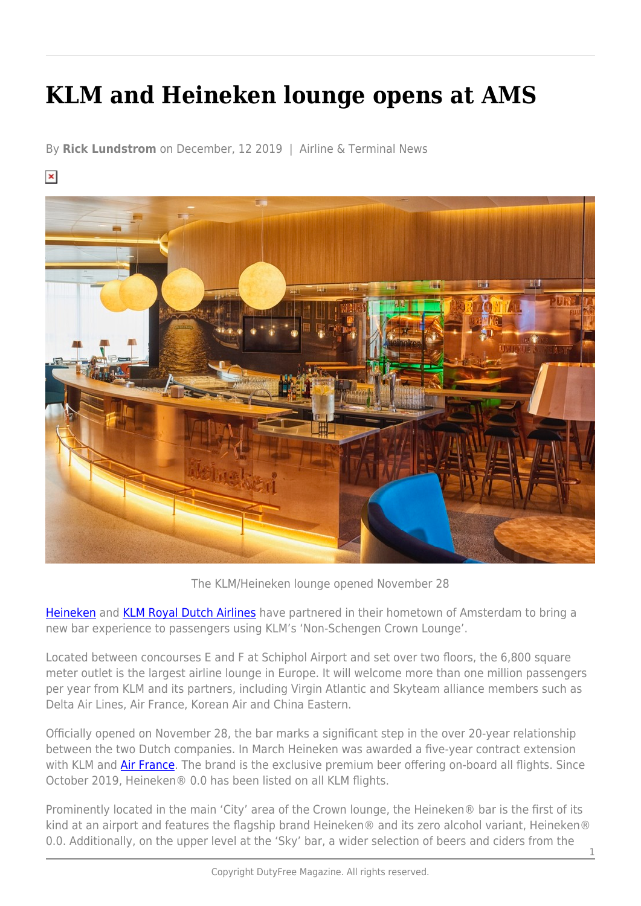## **KLM and Heineken lounge opens at AMS**

By **Rick Lundstrom** on December, 12 2019 | Airline & Terminal News

 $\pmb{\times}$ 



The KLM/Heineken lounge opened November 28

[Heineken](https://www.heineken.com/us/agegateway?pkw=heineken&locationID=9019666&interestID=&gclid=EAIaIQobChMI_5Pv4Y6x5gIVEfDACh3QHAQfEAAYASAAEgJ3p_D_BwE&returnurl=%2fus?pkw%3dheineken%26locationID%3d9019666%26interestID%3d%26gclid%3dEAIaIQobChMI_5Pv4Y6x5gIVEfDACh3QHAQfEAAYASAAEgJ3p_D_BwE) and [KLM Royal Dutch Airlines](https://www.klm.com/home/us/en) have partnered in their hometown of Amsterdam to bring a new bar experience to passengers using KLM's 'Non-Schengen Crown Lounge'.

Located between concourses E and F at Schiphol Airport and set over two floors, the 6,800 square meter outlet is the largest airline lounge in Europe. It will welcome more than one million passengers per year from KLM and its partners, including Virgin Atlantic and Skyteam alliance members such as Delta Air Lines, Air France, Korean Air and China Eastern.

Officially opened on November 28, the bar marks a significant step in the over 20-year relationship between the two Dutch companies. In March Heineken was awarded a five-year contract extension with KLM and [Air France](https://www.airfrance.us/?esv_medium=SEA_Brand_e&esv_source=google&esv_campaign=US+-+EN+-+Brandname&esv_content=Brandname+-+Exact&esv_market=US&gclid=EAIaIQobChMIksHg54-x5gIVgYbACh0KSgcdEAAYASAAEgJwuvD_BwE&gclsrc=aw.ds). The brand is the exclusive premium beer offering on-board all flights. Since October 2019, Heineken® 0.0 has been listed on all KLM flights.

Prominently located in the main 'City' area of the Crown lounge, the Heineken® bar is the first of its kind at an airport and features the flagship brand Heineken® and its zero alcohol variant, Heineken® 0.0. Additionally, on the upper level at the 'Sky' bar, a wider selection of beers and ciders from the